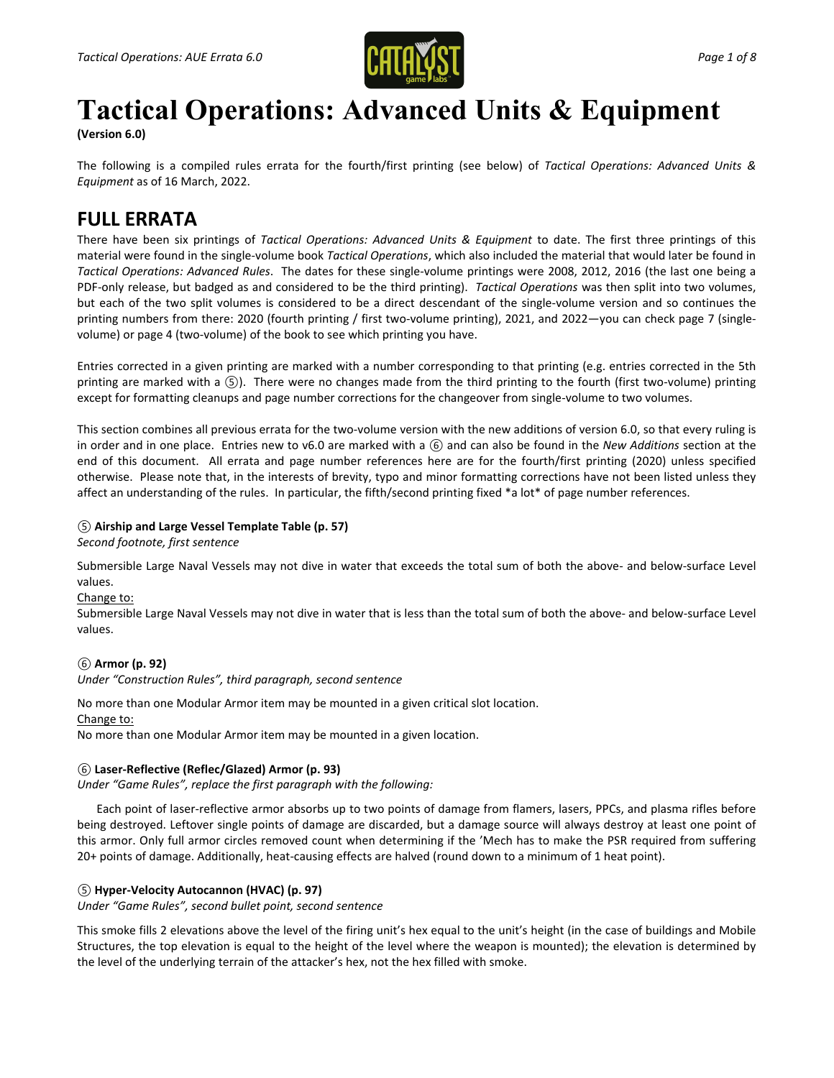

# **Tactical Operations: Advanced Units & Equipment**

**(Version 6.0)**

The following is a compiled rules errata for the fourth/first printing (see below) of *Tactical Operations: Advanced Units & Equipment* as of 16 March, 2022.

# **FULL ERRATA**

There have been six printings of *Tactical Operations: Advanced Units & Equipment* to date. The first three printings of this material were found in the single-volume book *Tactical Operations*, which also included the material that would later be found in *Tactical Operations: Advanced Rules*. The dates for these single-volume printings were 2008, 2012, 2016 (the last one being a PDF-only release, but badged as and considered to be the third printing). *Tactical Operations* was then split into two volumes, but each of the two split volumes is considered to be a direct descendant of the single-volume version and so continues the printing numbers from there: 2020 (fourth printing / first two-volume printing), 2021, and 2022—you can check page 7 (singlevolume) or page 4 (two-volume) of the book to see which printing you have.

Entries corrected in a given printing are marked with a number corresponding to that printing (e.g. entries corrected in the 5th printing are marked with a *⑤*). There were no changes made from the third printing to the fourth (first two-volume) printing except for formatting cleanups and page number corrections for the changeover from single-volume to two volumes.

This section combines all previous errata for the two-volume version with the new additions of version 6.0, so that every ruling is in order and in one place. Entries new to v6.0 are marked with a *⑥* and can also be found in the *New Additions* section at the end of this document. All errata and page number references here are for the fourth/first printing (2020) unless specified otherwise. Please note that, in the interests of brevity, typo and minor formatting corrections have not been listed unless they affect an understanding of the rules. In particular, the fifth/second printing fixed \*a lot\* of page number references.

## *⑤* **Airship and Large Vessel Template Table (p. 57)**

*Second footnote, first sentence*

Submersible Large Naval Vessels may not dive in water that exceeds the total sum of both the above- and below-surface Level values.

Change to:

Submersible Large Naval Vessels may not dive in water that is less than the total sum of both the above- and below-surface Level values.

## *⑥* **Armor (p. 92)**

*Under "Construction Rules", third paragraph, second sentence*

No more than one Modular Armor item may be mounted in a given critical slot location.

Change to:

No more than one Modular Armor item may be mounted in a given location.

## *⑥* **Laser-Reflective (Reflec/Glazed) Armor (p. 93)**

*Under "Game Rules", replace the first paragraph with the following:*

Each point of laser-reflective armor absorbs up to two points of damage from flamers, lasers, PPCs, and plasma rifles before being destroyed. Leftover single points of damage are discarded, but a damage source will always destroy at least one point of this armor. Only full armor circles removed count when determining if the 'Mech has to make the PSR required from suffering 20+ points of damage. Additionally, heat-causing effects are halved (round down to a minimum of 1 heat point).

## *⑤* **Hyper-Velocity Autocannon (HVAC) (p. 97)**

*Under "Game Rules", second bullet point, second sentence*

This smoke fills 2 elevations above the level of the firing unit's hex equal to the unit's height (in the case of buildings and Mobile Structures, the top elevation is equal to the height of the level where the weapon is mounted); the elevation is determined by the level of the underlying terrain of the attacker's hex, not the hex filled with smoke.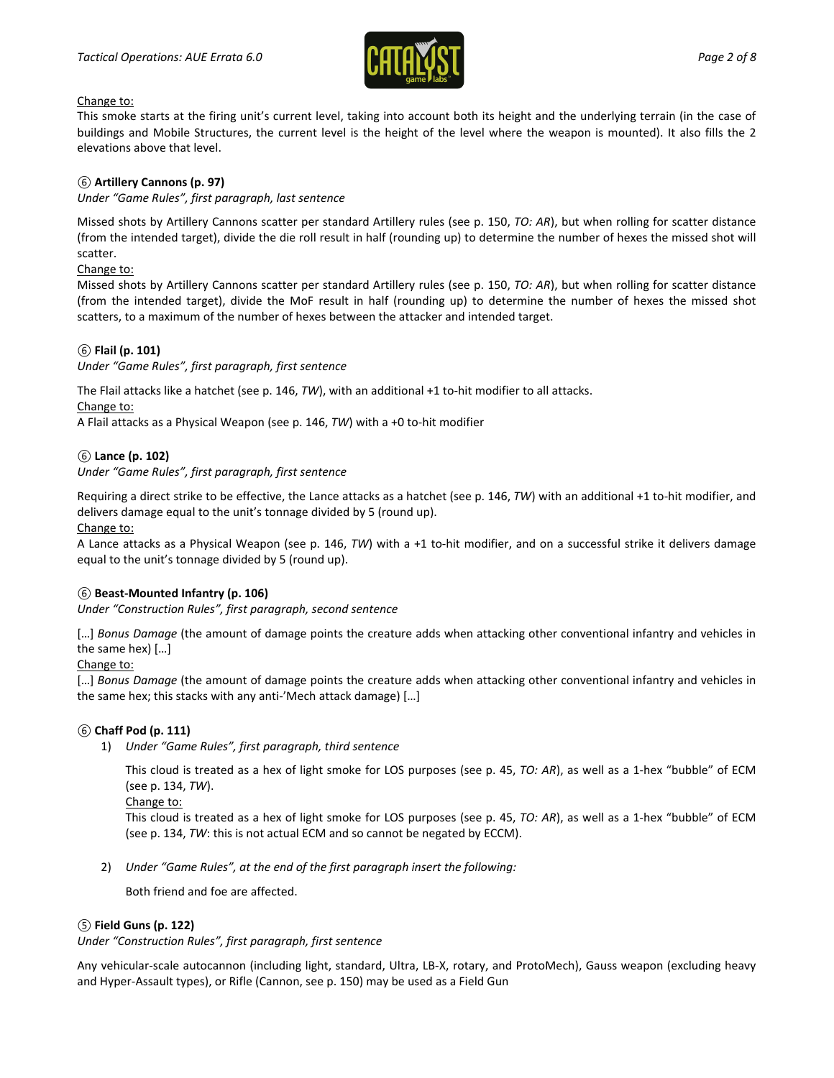

#### Change to:

This smoke starts at the firing unit's current level, taking into account both its height and the underlying terrain (in the case of buildings and Mobile Structures, the current level is the height of the level where the weapon is mounted). It also fills the 2 elevations above that level.

## *⑥* **Artillery Cannons (p. 97)**

*Under "Game Rules", first paragraph, last sentence*

Missed shots by Artillery Cannons scatter per standard Artillery rules (see p. 150, *TO: AR*), but when rolling for scatter distance (from the intended target), divide the die roll result in half (rounding up) to determine the number of hexes the missed shot will scatter.

Change to:

Missed shots by Artillery Cannons scatter per standard Artillery rules (see p. 150, *TO: AR*), but when rolling for scatter distance (from the intended target), divide the MoF result in half (rounding up) to determine the number of hexes the missed shot scatters, to a maximum of the number of hexes between the attacker and intended target.

## *⑥* **Flail (p. 101)**

*Under "Game Rules", first paragraph, first sentence*

The Flail attacks like a hatchet (see p. 146, *TW*), with an additional +1 to-hit modifier to all attacks.

Change to:

A Flail attacks as a Physical Weapon (see p. 146, *TW*) with a +0 to-hit modifier

## *⑥* **Lance (p. 102)**

## *Under "Game Rules", first paragraph, first sentence*

Requiring a direct strike to be effective, the Lance attacks as a hatchet (see p. 146, *TW*) with an additional +1 to-hit modifier, and delivers damage equal to the unit's tonnage divided by 5 (round up).

Change to:

A Lance attacks as a Physical Weapon (see p. 146, *TW*) with a +1 to-hit modifier, and on a successful strike it delivers damage equal to the unit's tonnage divided by 5 (round up).

## *⑥* **Beast-Mounted Infantry (p. 106)**

*Under "Construction Rules", first paragraph, second sentence*

[...] Bonus Damage (the amount of damage points the creature adds when attacking other conventional infantry and vehicles in the same hex) […]

#### Change to:

[…] *Bonus Damage* (the amount of damage points the creature adds when attacking other conventional infantry and vehicles in the same hex; this stacks with any anti-'Mech attack damage) […]

#### *⑥* **Chaff Pod (p. 111)**

1) *Under "Game Rules", first paragraph, third sentence*

This cloud is treated as a hex of light smoke for LOS purposes (see p. 45, *TO: AR*), as well as a 1-hex "bubble" of ECM (see p. 134, *TW*).

Change to:

This cloud is treated as a hex of light smoke for LOS purposes (see p. 45, *TO: AR*), as well as a 1-hex "bubble" of ECM (see p. 134, *TW*: this is not actual ECM and so cannot be negated by ECCM).

2) *Under "Game Rules", at the end of the first paragraph insert the following:*

Both friend and foe are affected.

#### *⑤* **Field Guns (p. 122)**

*Under "Construction Rules", first paragraph, first sentence*

Any vehicular-scale autocannon (including light, standard, Ultra, LB-X, rotary, and ProtoMech), Gauss weapon (excluding heavy and Hyper-Assault types), or Rifle (Cannon, see p. 150) may be used as a Field Gun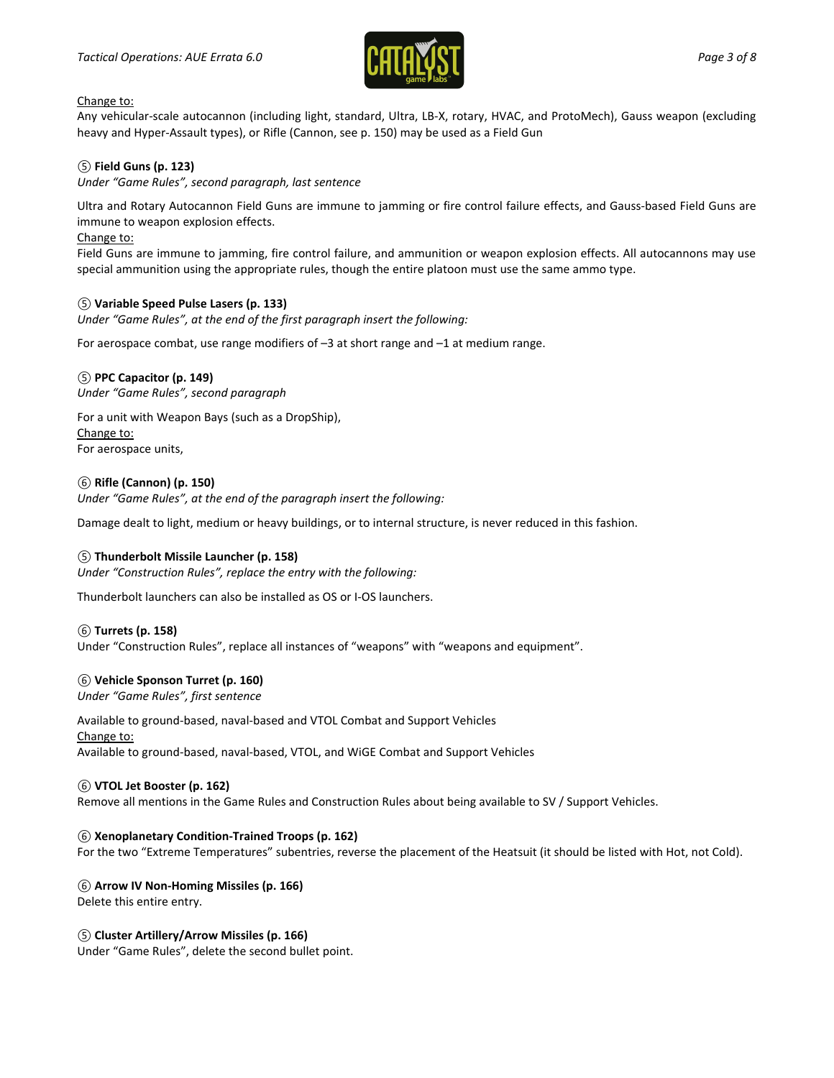

#### Change to:

Any vehicular-scale autocannon (including light, standard, Ultra, LB-X, rotary, HVAC, and ProtoMech), Gauss weapon (excluding heavy and Hyper-Assault types), or Rifle (Cannon, see p. 150) may be used as a Field Gun

## *⑤* **Field Guns (p. 123)**

#### *Under "Game Rules", second paragraph, last sentence*

Ultra and Rotary Autocannon Field Guns are immune to jamming or fire control failure effects, and Gauss-based Field Guns are immune to weapon explosion effects.

#### Change to:

Field Guns are immune to jamming, fire control failure, and ammunition or weapon explosion effects. All autocannons may use special ammunition using the appropriate rules, though the entire platoon must use the same ammo type.

#### *⑤* **Variable Speed Pulse Lasers (p. 133)**

*Under "Game Rules", at the end of the first paragraph insert the following:*

For aerospace combat, use range modifiers of –3 at short range and –1 at medium range.

#### *⑤* **PPC Capacitor (p. 149)**

*Under "Game Rules", second paragraph*

For a unit with Weapon Bays (such as a DropShip), Change to: For aerospace units,

#### *⑥* **Rifle (Cannon) (p. 150)**

*Under "Game Rules", at the end of the paragraph insert the following:*

Damage dealt to light, medium or heavy buildings, or to internal structure, is never reduced in this fashion.

#### *⑤* **Thunderbolt Missile Launcher (p. 158)**

*Under "Construction Rules", replace the entry with the following:*

Thunderbolt launchers can also be installed as OS or I-OS launchers.

#### *⑥* **Turrets (p. 158)**

Under "Construction Rules", replace all instances of "weapons" with "weapons and equipment".

#### *⑥* **Vehicle Sponson Turret (p. 160)**

*Under "Game Rules", first sentence*

Available to ground-based, naval-based and VTOL Combat and Support Vehicles Change to: Available to ground-based, naval-based, VTOL, and WiGE Combat and Support Vehicles

#### *⑥* **VTOL Jet Booster (p. 162)**

Remove all mentions in the Game Rules and Construction Rules about being available to SV / Support Vehicles.

#### *⑥* **Xenoplanetary Condition-Trained Troops (p. 162)**

For the two "Extreme Temperatures" subentries, reverse the placement of the Heatsuit (it should be listed with Hot, not Cold).

*⑥* **Arrow IV Non-Homing Missiles (p. 166)** Delete this entire entry.

#### *⑤* **Cluster Artillery/Arrow Missiles (p. 166)**

Under "Game Rules", delete the second bullet point.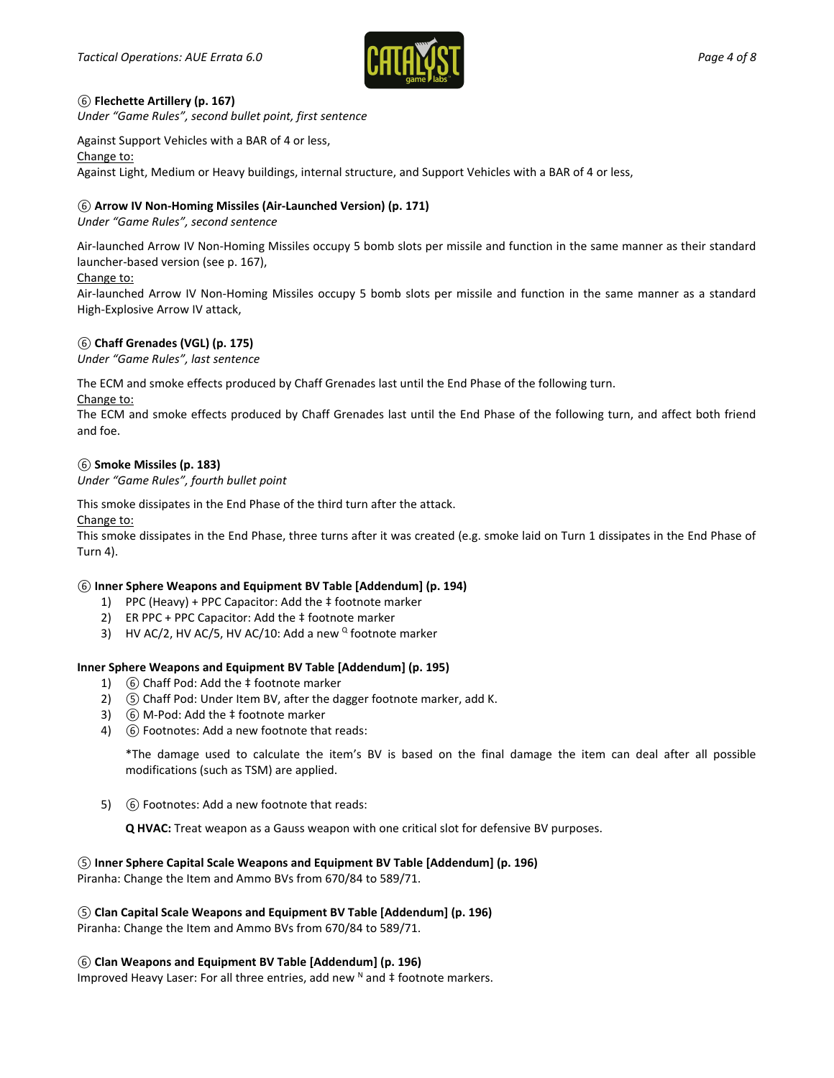

## *⑥* **Flechette Artillery (p. 167)**

*Under "Game Rules", second bullet point, first sentence*

Against Support Vehicles with a BAR of 4 or less,

Change to:

Against Light, Medium or Heavy buildings, internal structure, and Support Vehicles with a BAR of 4 or less,

## *⑥* **Arrow IV Non-Homing Missiles (Air-Launched Version) (p. 171)**

*Under "Game Rules", second sentence*

Air-launched Arrow IV Non-Homing Missiles occupy 5 bomb slots per missile and function in the same manner as their standard launcher-based version (see p. 167),

#### Change to:

Air-launched Arrow IV Non-Homing Missiles occupy 5 bomb slots per missile and function in the same manner as a standard High-Explosive Arrow IV attack,

## *⑥* **Chaff Grenades (VGL) (p. 175)**

*Under "Game Rules", last sentence*

The ECM and smoke effects produced by Chaff Grenades last until the End Phase of the following turn.

#### Change to:

The ECM and smoke effects produced by Chaff Grenades last until the End Phase of the following turn, and affect both friend and foe.

## *⑥* **Smoke Missiles (p. 183)**

*Under "Game Rules", fourth bullet point*

This smoke dissipates in the End Phase of the third turn after the attack.

Change to:

This smoke dissipates in the End Phase, three turns after it was created (e.g. smoke laid on Turn 1 dissipates in the End Phase of Turn 4).

## *⑥* **Inner Sphere Weapons and Equipment BV Table [Addendum] (p. 194)**

- 1) PPC (Heavy) + PPC Capacitor: Add the ‡ footnote marker
- 2) ER PPC + PPC Capacitor: Add the ‡ footnote marker
- 3) HV AC/2, HV AC/5, HV AC/10: Add a new  $^{\circ}$  footnote marker

#### **Inner Sphere Weapons and Equipment BV Table [Addendum] (p. 195)**

- 1) *⑥* Chaff Pod: Add the ‡ footnote marker
- 2) *⑤* Chaff Pod: Under Item BV, after the dagger footnote marker, add K.
- 3) *⑥* M-Pod: Add the ‡ footnote marker
- 4) *⑥* Footnotes: Add a new footnote that reads:

\*The damage used to calculate the item's BV is based on the final damage the item can deal after all possible modifications (such as TSM) are applied.

5) *⑥* Footnotes: Add a new footnote that reads:

**Q HVAC:** Treat weapon as a Gauss weapon with one critical slot for defensive BV purposes.

## *⑤* **Inner Sphere Capital Scale Weapons and Equipment BV Table [Addendum] (p. 196)**

Piranha: Change the Item and Ammo BVs from 670/84 to 589/71.

*⑤* **Clan Capital Scale Weapons and Equipment BV Table [Addendum] (p. 196)**

Piranha: Change the Item and Ammo BVs from 670/84 to 589/71.

*⑥* **Clan Weapons and Equipment BV Table [Addendum] (p. 196)**

Improved Heavy Laser: For all three entries, add new  $N$  and  $\ddagger$  footnote markers.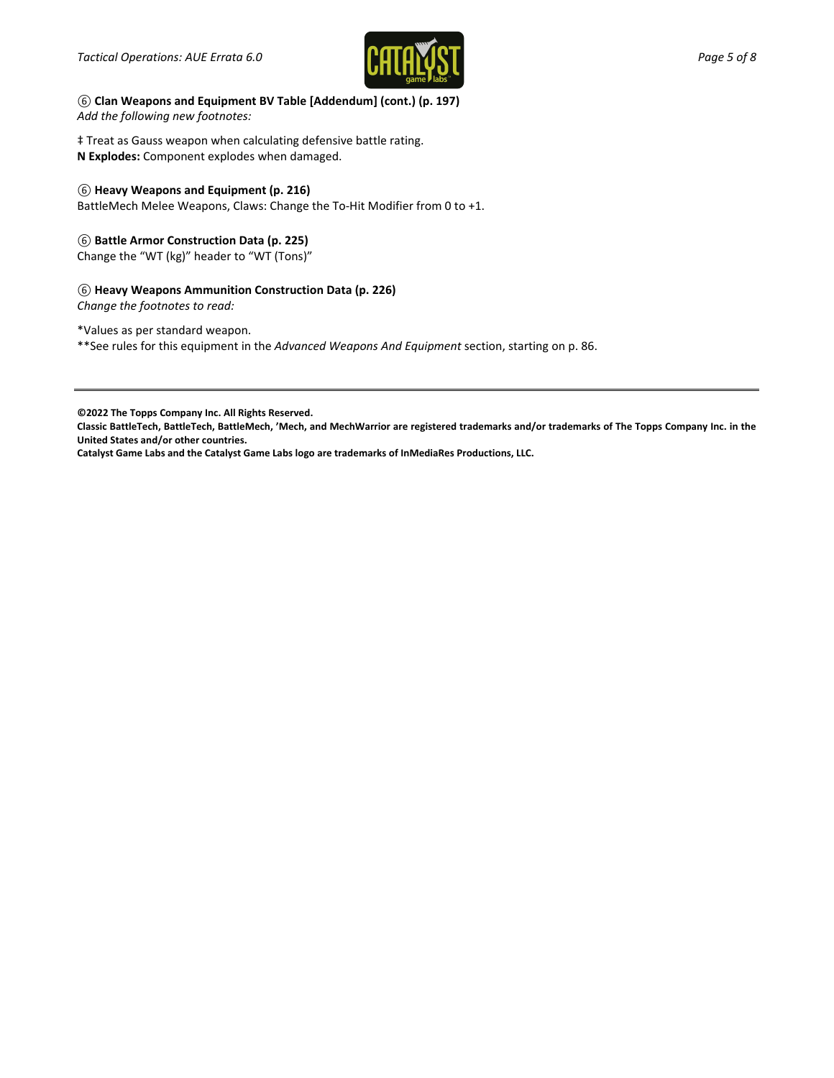

*⑥* **Clan Weapons and Equipment BV Table [Addendum] (cont.) (p. 197)** *Add the following new footnotes:*

‡ Treat as Gauss weapon when calculating defensive battle rating. **N Explodes:** Component explodes when damaged.

#### *⑥* **Heavy Weapons and Equipment (p. 216)**

BattleMech Melee Weapons, Claws: Change the To-Hit Modifier from 0 to +1.

#### *⑥* **Battle Armor Construction Data (p. 225)**

Change the "WT (kg)" header to "WT (Tons)"

## *⑥* **Heavy Weapons Ammunition Construction Data (p. 226)**

*Change the footnotes to read:*

\*Values as per standard weapon.

\*\*See rules for this equipment in the *Advanced Weapons And Equipment* section, starting on p. 86.

**©2022 The Topps Company Inc. All Rights Reserved.**

**Classic BattleTech, BattleTech, BattleMech, 'Mech, and MechWarrior are registered trademarks and/or trademarks of The Topps Company Inc. in the United States and/or other countries.**

**Catalyst Game Labs and the Catalyst Game Labs logo are trademarks of InMediaRes Productions, LLC.**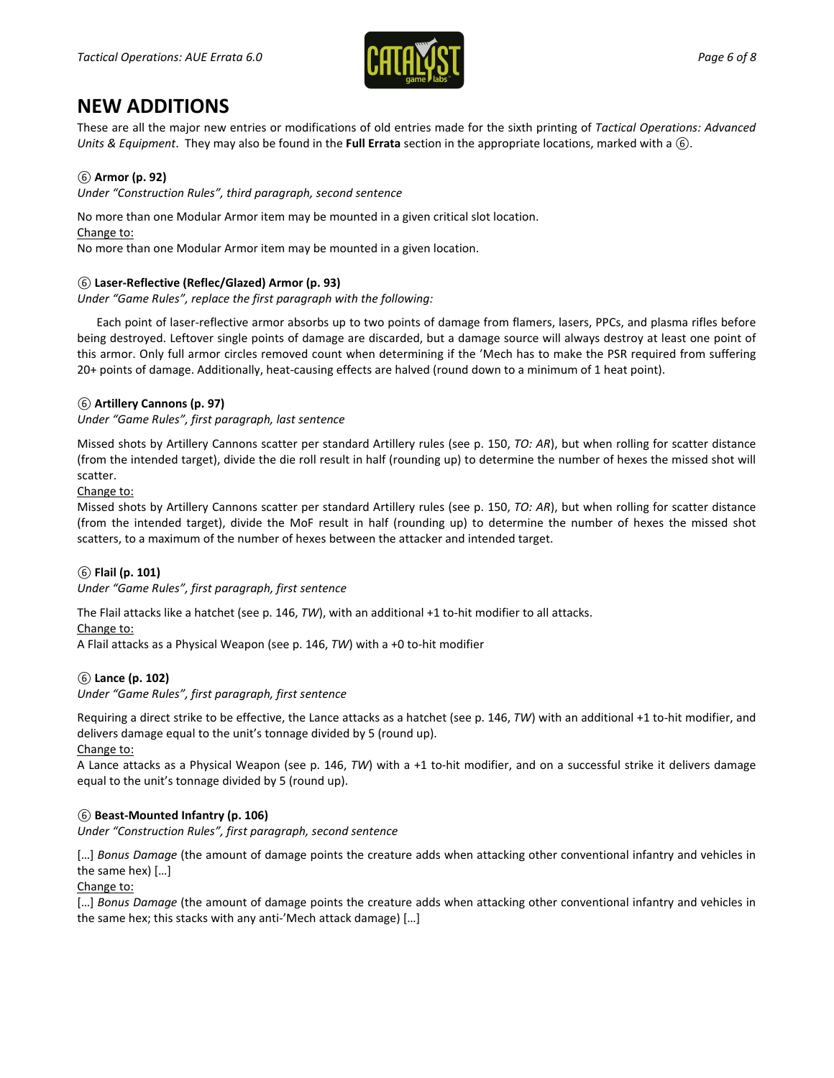

## **NEW ADDITIONS**

These are all the major new entries or modifications of old entries made for the sixth printing of *Tactical Operations: Advanced Units & Equipment*. They may also be found in the **Full Errata** section in the appropriate locations, marked with a *⑥*.

## *⑥* **Armor (p. 92)**

*Under "Construction Rules", third paragraph, second sentence*

No more than one Modular Armor item may be mounted in a given critical slot location.

Change to:

No more than one Modular Armor item may be mounted in a given location.

## *⑥* **Laser-Reflective (Reflec/Glazed) Armor (p. 93)**

*Under "Game Rules", replace the first paragraph with the following:*

Each point of laser-reflective armor absorbs up to two points of damage from flamers, lasers, PPCs, and plasma rifles before being destroyed. Leftover single points of damage are discarded, but a damage source will always destroy at least one point of this armor. Only full armor circles removed count when determining if the 'Mech has to make the PSR required from suffering 20+ points of damage. Additionally, heat-causing effects are halved (round down to a minimum of 1 heat point).

## *⑥* **Artillery Cannons (p. 97)**

*Under "Game Rules", first paragraph, last sentence*

Missed shots by Artillery Cannons scatter per standard Artillery rules (see p. 150, *TO: AR*), but when rolling for scatter distance (from the intended target), divide the die roll result in half (rounding up) to determine the number of hexes the missed shot will scatter.

Change to:

Missed shots by Artillery Cannons scatter per standard Artillery rules (see p. 150, *TO: AR*), but when rolling for scatter distance (from the intended target), divide the MoF result in half (rounding up) to determine the number of hexes the missed shot scatters, to a maximum of the number of hexes between the attacker and intended target.

## *⑥* **Flail (p. 101)**

*Under "Game Rules", first paragraph, first sentence*

The Flail attacks like a hatchet (see p. 146, *TW*), with an additional +1 to-hit modifier to all attacks.

## Change to:

A Flail attacks as a Physical Weapon (see p. 146, *TW*) with a +0 to-hit modifier

## *⑥* **Lance (p. 102)**

*Under "Game Rules", first paragraph, first sentence*

Requiring a direct strike to be effective, the Lance attacks as a hatchet (see p. 146, *TW*) with an additional +1 to-hit modifier, and delivers damage equal to the unit's tonnage divided by 5 (round up).

Change to:

A Lance attacks as a Physical Weapon (see p. 146, *TW*) with a +1 to-hit modifier, and on a successful strike it delivers damage equal to the unit's tonnage divided by 5 (round up).

## *⑥* **Beast-Mounted Infantry (p. 106)**

*Under "Construction Rules", first paragraph, second sentence*

[...] Bonus Damage (the amount of damage points the creature adds when attacking other conventional infantry and vehicles in the same hex) […]

Change to:

[…] *Bonus Damage* (the amount of damage points the creature adds when attacking other conventional infantry and vehicles in the same hex; this stacks with any anti-'Mech attack damage) […]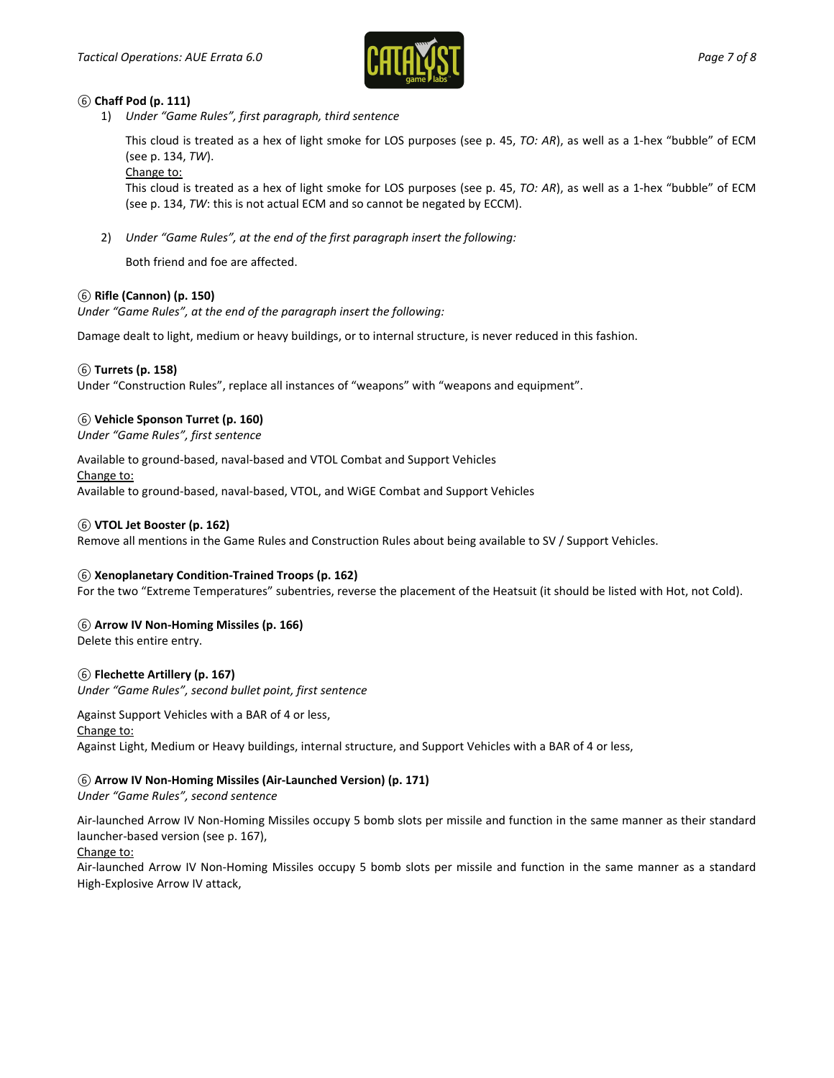

## *⑥* **Chaff Pod (p. 111)**

1) *Under "Game Rules", first paragraph, third sentence*

This cloud is treated as a hex of light smoke for LOS purposes (see p. 45, *TO: AR*), as well as a 1-hex "bubble" of ECM (see p. 134, *TW*).

Change to:

This cloud is treated as a hex of light smoke for LOS purposes (see p. 45, *TO: AR*), as well as a 1-hex "bubble" of ECM (see p. 134, *TW*: this is not actual ECM and so cannot be negated by ECCM).

2) *Under "Game Rules", at the end of the first paragraph insert the following:*

Both friend and foe are affected.

## *⑥* **Rifle (Cannon) (p. 150)**

*Under "Game Rules", at the end of the paragraph insert the following:*

Damage dealt to light, medium or heavy buildings, or to internal structure, is never reduced in this fashion.

## *⑥* **Turrets (p. 158)**

Under "Construction Rules", replace all instances of "weapons" with "weapons and equipment".

## *⑥* **Vehicle Sponson Turret (p. 160)**

*Under "Game Rules", first sentence*

Available to ground-based, naval-based and VTOL Combat and Support Vehicles Change to:

Available to ground-based, naval-based, VTOL, and WiGE Combat and Support Vehicles

## *⑥* **VTOL Jet Booster (p. 162)**

Remove all mentions in the Game Rules and Construction Rules about being available to SV / Support Vehicles.

#### *⑥* **Xenoplanetary Condition-Trained Troops (p. 162)**

For the two "Extreme Temperatures" subentries, reverse the placement of the Heatsuit (it should be listed with Hot, not Cold).

## *⑥* **Arrow IV Non-Homing Missiles (p. 166)**

Delete this entire entry.

## *⑥* **Flechette Artillery (p. 167)**

*Under "Game Rules", second bullet point, first sentence*

Against Support Vehicles with a BAR of 4 or less, Change to:

Against Light, Medium or Heavy buildings, internal structure, and Support Vehicles with a BAR of 4 or less,

## *⑥* **Arrow IV Non-Homing Missiles (Air-Launched Version) (p. 171)**

*Under "Game Rules", second sentence*

Air-launched Arrow IV Non-Homing Missiles occupy 5 bomb slots per missile and function in the same manner as their standard launcher-based version (see p. 167),

#### Change to:

Air-launched Arrow IV Non-Homing Missiles occupy 5 bomb slots per missile and function in the same manner as a standard High-Explosive Arrow IV attack,